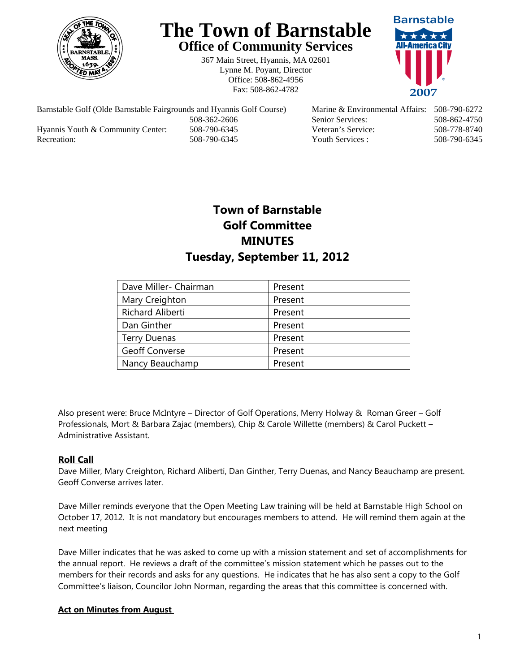

# **The Town of Barnstable Office of Community Services**

367 Main Street, Hyannis, MA 02601 Lynne M. Poyant, Director Office: 508-862-4956 Fax: 508-862-4782



Barnstable Golf (Olde Barnstable Fairgrounds and Hyannis Golf Course) Marine & Environmental Affairs: 508-790-6272 508-362-2606 Senior Services: 508-862-4750 Hyannis Youth & Community Center: 508-790-6345 Veteran's Service: 508-778-8740 Recreation: 508-790-6345 Youth Services : 508-790-6345 S08-790-6345

# **Town of Barnstable Golf Committee MINUTES Tuesday, September 11, 2012**

| Dave Miller- Chairman | Present |
|-----------------------|---------|
| Mary Creighton        | Present |
| Richard Aliberti      | Present |
| Dan Ginther           | Present |
| <b>Terry Duenas</b>   | Present |
| <b>Geoff Converse</b> | Present |
| Nancy Beauchamp       | Present |

Also present were: Bruce McIntyre – Director of Golf Operations, Merry Holway & Roman Greer – Golf Professionals, Mort & Barbara Zajac (members), Chip & Carole Willette (members) & Carol Puckett – Administrative Assistant.

## **Roll Call**

Dave Miller, Mary Creighton, Richard Aliberti, Dan Ginther, Terry Duenas, and Nancy Beauchamp are present. Geoff Converse arrives later.

Dave Miller reminds everyone that the Open Meeting Law training will be held at Barnstable High School on October 17, 2012. It is not mandatory but encourages members to attend. He will remind them again at the next meeting

Dave Miller indicates that he was asked to come up with a mission statement and set of accomplishments for the annual report. He reviews a draft of the committee's mission statement which he passes out to the members for their records and asks for any questions. He indicates that he has also sent a copy to the Golf Committee's liaison, Councilor John Norman, regarding the areas that this committee is concerned with.

#### **Act on Minutes from August**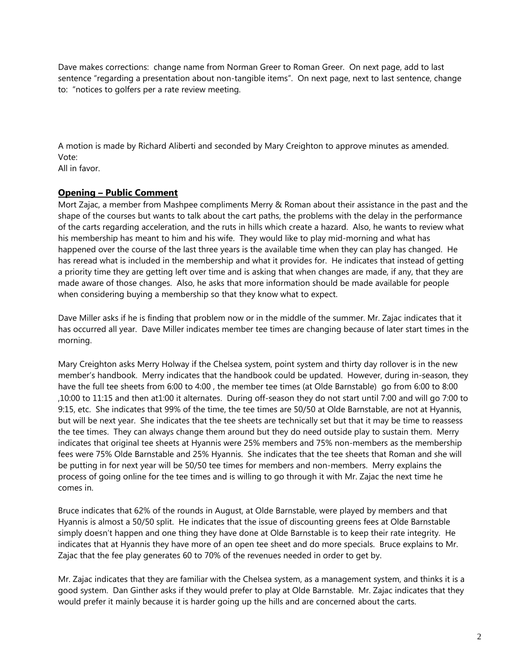Dave makes corrections: change name from Norman Greer to Roman Greer. On next page, add to last sentence "regarding a presentation about non-tangible items". On next page, next to last sentence, change to: "notices to golfers per a rate review meeting.

A motion is made by Richard Aliberti and seconded by Mary Creighton to approve minutes as amended. Vote:

All in favor.

## **Opening – Public Comment**

Mort Zajac, a member from Mashpee compliments Merry & Roman about their assistance in the past and the shape of the courses but wants to talk about the cart paths, the problems with the delay in the performance of the carts regarding acceleration, and the ruts in hills which create a hazard. Also, he wants to review what his membership has meant to him and his wife. They would like to play mid-morning and what has happened over the course of the last three years is the available time when they can play has changed. He has reread what is included in the membership and what it provides for. He indicates that instead of getting a priority time they are getting left over time and is asking that when changes are made, if any, that they are made aware of those changes. Also, he asks that more information should be made available for people when considering buying a membership so that they know what to expect.

Dave Miller asks if he is finding that problem now or in the middle of the summer. Mr. Zajac indicates that it has occurred all year. Dave Miller indicates member tee times are changing because of later start times in the morning.

Mary Creighton asks Merry Holway if the Chelsea system, point system and thirty day rollover is in the new member's handbook. Merry indicates that the handbook could be updated. However, during in-season, they have the full tee sheets from 6:00 to 4:00 , the member tee times (at Olde Barnstable) go from 6:00 to 8:00 ,10:00 to 11:15 and then at1:00 it alternates. During off-season they do not start until 7:00 and will go 7:00 to 9:15, etc. She indicates that 99% of the time, the tee times are 50/50 at Olde Barnstable, are not at Hyannis, but will be next year. She indicates that the tee sheets are technically set but that it may be time to reassess the tee times. They can always change them around but they do need outside play to sustain them. Merry indicates that original tee sheets at Hyannis were 25% members and 75% non-members as the membership fees were 75% Olde Barnstable and 25% Hyannis. She indicates that the tee sheets that Roman and she will be putting in for next year will be 50/50 tee times for members and non-members. Merry explains the process of going online for the tee times and is willing to go through it with Mr. Zajac the next time he comes in.

Bruce indicates that 62% of the rounds in August, at Olde Barnstable, were played by members and that Hyannis is almost a 50/50 split. He indicates that the issue of discounting greens fees at Olde Barnstable simply doesn't happen and one thing they have done at Olde Barnstable is to keep their rate integrity. He indicates that at Hyannis they have more of an open tee sheet and do more specials. Bruce explains to Mr. Zajac that the fee play generates 60 to 70% of the revenues needed in order to get by.

Mr. Zajac indicates that they are familiar with the Chelsea system, as a management system, and thinks it is a good system. Dan Ginther asks if they would prefer to play at Olde Barnstable. Mr. Zajac indicates that they would prefer it mainly because it is harder going up the hills and are concerned about the carts.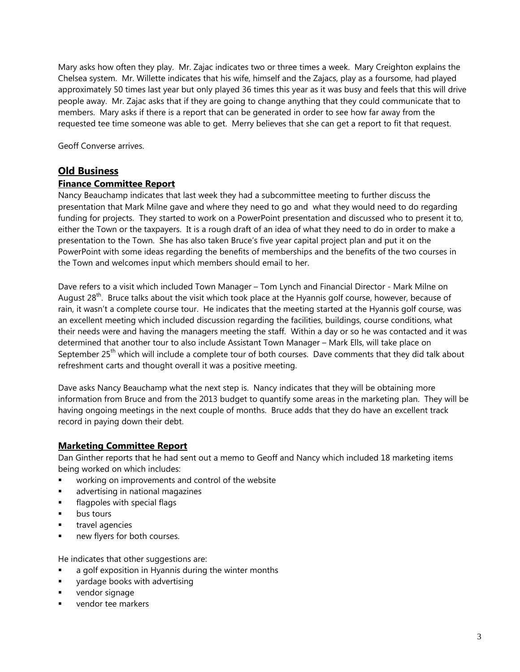Mary asks how often they play. Mr. Zajac indicates two or three times a week. Mary Creighton explains the Chelsea system. Mr. Willette indicates that his wife, himself and the Zajacs, play as a foursome, had played approximately 50 times last year but only played 36 times this year as it was busy and feels that this will drive people away. Mr. Zajac asks that if they are going to change anything that they could communicate that to members. Mary asks if there is a report that can be generated in order to see how far away from the requested tee time someone was able to get. Merry believes that she can get a report to fit that request.

Geoff Converse arrives.

## **Old Business**

#### **Finance Committee Report**

Nancy Beauchamp indicates that last week they had a subcommittee meeting to further discuss the presentation that Mark Milne gave and where they need to go and what they would need to do regarding funding for projects. They started to work on a PowerPoint presentation and discussed who to present it to, either the Town or the taxpayers. It is a rough draft of an idea of what they need to do in order to make a presentation to the Town. She has also taken Bruce's five year capital project plan and put it on the PowerPoint with some ideas regarding the benefits of memberships and the benefits of the two courses in the Town and welcomes input which members should email to her.

Dave refers to a visit which included Town Manager – Tom Lynch and Financial Director - Mark Milne on August  $28<sup>th</sup>$ . Bruce talks about the visit which took place at the Hyannis golf course, however, because of rain, it wasn't a complete course tour. He indicates that the meeting started at the Hyannis golf course, was an excellent meeting which included discussion regarding the facilities, buildings, course conditions, what their needs were and having the managers meeting the staff. Within a day or so he was contacted and it was determined that another tour to also include Assistant Town Manager – Mark Ells, will take place on September 25<sup>th</sup> which will include a complete tour of both courses. Dave comments that they did talk about refreshment carts and thought overall it was a positive meeting.

Dave asks Nancy Beauchamp what the next step is. Nancy indicates that they will be obtaining more information from Bruce and from the 2013 budget to quantify some areas in the marketing plan. They will be having ongoing meetings in the next couple of months. Bruce adds that they do have an excellent track record in paying down their debt.

## **Marketing Committee Report**

Dan Ginther reports that he had sent out a memo to Geoff and Nancy which included 18 marketing items being worked on which includes:

- working on improvements and control of the website
- **advertising in national magazines**
- flagpoles with special flags
- bus tours
- travel agencies
- new flyers for both courses.

He indicates that other suggestions are:

- **a** a golf exposition in Hyannis during the winter months
- **Example 3** yardage books with advertising
- **vendor signage**
- vendor tee markers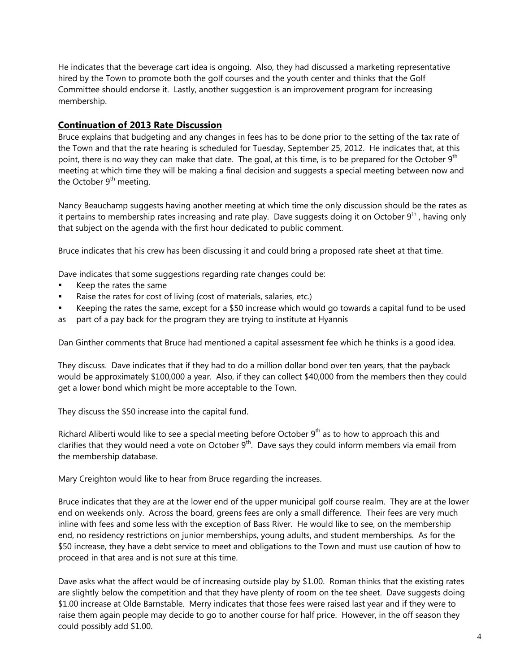He indicates that the beverage cart idea is ongoing. Also, they had discussed a marketing representative hired by the Town to promote both the golf courses and the youth center and thinks that the Golf Committee should endorse it. Lastly, another suggestion is an improvement program for increasing membership.

#### **Continuation of 2013 Rate Discussion**

Bruce explains that budgeting and any changes in fees has to be done prior to the setting of the tax rate of the Town and that the rate hearing is scheduled for Tuesday, September 25, 2012. He indicates that, at this point, there is no way they can make that date. The goal, at this time, is to be prepared for the October 9<sup>th</sup> meeting at which time they will be making a final decision and suggests a special meeting between now and the October  $9<sup>th</sup>$  meeting.

Nancy Beauchamp suggests having another meeting at which time the only discussion should be the rates as it pertains to membership rates increasing and rate play. Dave suggests doing it on October  $9<sup>th</sup>$ , having only that subject on the agenda with the first hour dedicated to public comment.

Bruce indicates that his crew has been discussing it and could bring a proposed rate sheet at that time.

Dave indicates that some suggestions regarding rate changes could be:

- Keep the rates the same
- Raise the rates for cost of living (cost of materials, salaries, etc.)
- Keeping the rates the same, except for a \$50 increase which would go towards a capital fund to be used
- as part of a pay back for the program they are trying to institute at Hyannis

Dan Ginther comments that Bruce had mentioned a capital assessment fee which he thinks is a good idea.

They discuss. Dave indicates that if they had to do a million dollar bond over ten years, that the payback would be approximately \$100,000 a year. Also, if they can collect \$40,000 from the members then they could get a lower bond which might be more acceptable to the Town.

They discuss the \$50 increase into the capital fund.

Richard Aliberti would like to see a special meeting before October  $9<sup>th</sup>$  as to how to approach this and clarifies that they would need a vote on October  $9<sup>th</sup>$ . Dave says they could inform members via email from the membership database.

Mary Creighton would like to hear from Bruce regarding the increases.

Bruce indicates that they are at the lower end of the upper municipal golf course realm. They are at the lower end on weekends only. Across the board, greens fees are only a small difference. Their fees are very much inline with fees and some less with the exception of Bass River. He would like to see, on the membership end, no residency restrictions on junior memberships, young adults, and student memberships. As for the \$50 increase, they have a debt service to meet and obligations to the Town and must use caution of how to proceed in that area and is not sure at this time.

Dave asks what the affect would be of increasing outside play by \$1.00. Roman thinks that the existing rates are slightly below the competition and that they have plenty of room on the tee sheet. Dave suggests doing \$1.00 increase at Olde Barnstable. Merry indicates that those fees were raised last year and if they were to raise them again people may decide to go to another course for half price. However, in the off season they could possibly add \$1.00.